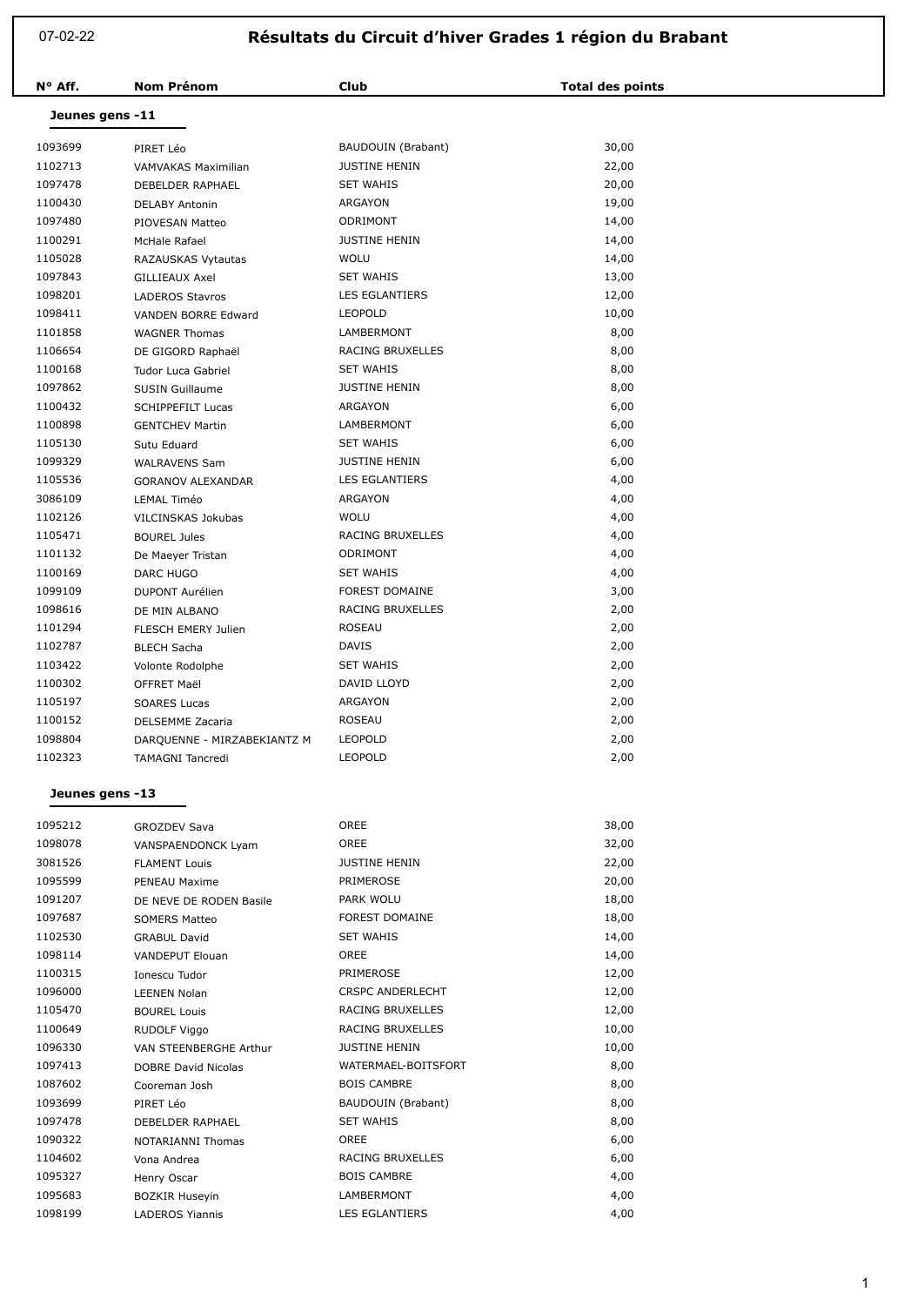07-02-22

## **Résultats du Circuit d'hiver Grades 1 région du Brabant**

| N° Aff. | <b>Nom Prénom</b>           | <b>Club</b>           | <b>Total des points</b> |  |  |  |  |
|---------|-----------------------------|-----------------------|-------------------------|--|--|--|--|
|         | Jeunes gens -11             |                       |                         |  |  |  |  |
| 1093699 | PIRET Léo                   | BAUDOUIN (Brabant)    | 30,00                   |  |  |  |  |
| 1102713 | VAMVAKAS Maximilian         | <b>JUSTINE HENIN</b>  | 22,00                   |  |  |  |  |
| 1097478 | DEBELDER RAPHAEL            | <b>SET WAHIS</b>      | 20,00                   |  |  |  |  |
| 1100430 | <b>DELABY Antonin</b>       | ARGAYON               | 19,00                   |  |  |  |  |
| 1097480 | PIOVESAN Matteo             | ODRIMONT              | 14,00                   |  |  |  |  |
| 1100291 | McHale Rafael               | <b>JUSTINE HENIN</b>  | 14,00                   |  |  |  |  |
| 1105028 | RAZAUSKAS Vytautas          | <b>WOLU</b>           | 14,00                   |  |  |  |  |
| 1097843 | <b>GILLIEAUX Axel</b>       | <b>SET WAHIS</b>      | 13,00                   |  |  |  |  |
| 1098201 | <b>LADEROS Stavros</b>      | <b>LES EGLANTIERS</b> | 12,00                   |  |  |  |  |
| 1098411 | <b>VANDEN BORRE Edward</b>  | LEOPOLD               | 10,00                   |  |  |  |  |
| 1101858 | <b>WAGNER Thomas</b>        | LAMBERMONT            | 8,00                    |  |  |  |  |
| 1106654 | DE GIGORD Raphaël           | RACING BRUXELLES      | 8,00                    |  |  |  |  |
| 1100168 | Tudor Luca Gabriel          | <b>SET WAHIS</b>      | 8,00                    |  |  |  |  |
| 1097862 | <b>SUSIN Guillaume</b>      | <b>JUSTINE HENIN</b>  | 8,00                    |  |  |  |  |
| 1100432 | <b>SCHIPPEFILT Lucas</b>    | ARGAYON               | 6,00                    |  |  |  |  |
| 1100898 | <b>GENTCHEV Martin</b>      | LAMBERMONT            | 6,00                    |  |  |  |  |
| 1105130 | Sutu Eduard                 | <b>SET WAHIS</b>      | 6,00                    |  |  |  |  |
| 1099329 | <b>WALRAVENS Sam</b>        | <b>JUSTINE HENIN</b>  | 6,00                    |  |  |  |  |
| 1105536 | <b>GORANOV ALEXANDAR</b>    | <b>LES EGLANTIERS</b> | 4,00                    |  |  |  |  |
| 3086109 | <b>LEMAL Timéo</b>          | ARGAYON               | 4,00                    |  |  |  |  |
| 1102126 | VILCINSKAS Jokubas          | <b>WOLU</b>           | 4,00                    |  |  |  |  |
| 1105471 | <b>BOUREL Jules</b>         | RACING BRUXELLES      | 4,00                    |  |  |  |  |
| 1101132 | De Maeyer Tristan           | ODRIMONT              | 4,00                    |  |  |  |  |
| 1100169 | <b>DARC HUGO</b>            | <b>SET WAHIS</b>      | 4,00                    |  |  |  |  |
| 1099109 | <b>DUPONT Aurélien</b>      | <b>FOREST DOMAINE</b> | 3,00                    |  |  |  |  |
| 1098616 | DE MIN ALBANO               | RACING BRUXELLES      | 2,00                    |  |  |  |  |
| 1101294 | <b>FLESCH EMERY Julien</b>  | <b>ROSEAU</b>         | 2,00                    |  |  |  |  |
| 1102787 | <b>BLECH Sacha</b>          | <b>DAVIS</b>          | 2,00                    |  |  |  |  |
| 1103422 | Volonte Rodolphe            | <b>SET WAHIS</b>      | 2,00                    |  |  |  |  |
| 1100302 | OFFRET Maël                 | DAVID LLOYD           | 2,00                    |  |  |  |  |
| 1105197 | <b>SOARES Lucas</b>         | ARGAYON               | 2,00                    |  |  |  |  |
| 1100152 | DELSEMME Zacaria            | ROSEAU                | 2,00                    |  |  |  |  |
| 1098804 | DARQUENNE - MIRZABEKIANTZ M | <b>LEOPOLD</b>        | 2,00                    |  |  |  |  |
| 1102323 | <b>TAMAGNI Tancredi</b>     | <b>LEOPOLD</b>        | 2,00                    |  |  |  |  |

## **Jeunes gens -13**

| 1095212 | <b>GROZDEV Sava</b>        | <b>OREE</b>             | 38,00 |
|---------|----------------------------|-------------------------|-------|
| 1098078 | VANSPAENDONCK Lyam         | OREE                    | 32,00 |
| 3081526 | <b>FLAMENT Louis</b>       | <b>JUSTINE HENIN</b>    | 22,00 |
| 1095599 | PENEAU Maxime              | <b>PRIMEROSE</b>        | 20,00 |
| 1091207 | DE NEVE DE RODEN Basile    | PARK WOLU               | 18,00 |
| 1097687 | <b>SOMERS Matteo</b>       | <b>FOREST DOMAINE</b>   | 18,00 |
| 1102530 | <b>GRABUL David</b>        | <b>SET WAHIS</b>        | 14,00 |
| 1098114 | <b>VANDEPUT Elouan</b>     | <b>OREE</b>             | 14,00 |
| 1100315 | Ionescu Tudor              | PRIMEROSE               | 12,00 |
| 1096000 | <b>LEENEN Nolan</b>        | <b>CRSPC ANDERLECHT</b> | 12,00 |
| 1105470 | <b>BOUREL Louis</b>        | RACING BRUXELLES        | 12,00 |
| 1100649 | <b>RUDOLF Viggo</b>        | RACING BRUXELLES        | 10,00 |
| 1096330 | VAN STEENBERGHE Arthur     | <b>JUSTINE HENIN</b>    | 10,00 |
| 1097413 | <b>DOBRE David Nicolas</b> | WATERMAEL-BOITSFORT     | 8,00  |
| 1087602 | Cooreman Josh              | <b>BOIS CAMBRE</b>      | 8,00  |
| 1093699 | PIRET Léo                  | BAUDOUIN (Brabant)      | 8,00  |
| 1097478 | <b>DEBELDER RAPHAEL</b>    | <b>SET WAHIS</b>        | 8,00  |
| 1090322 | NOTARIANNI Thomas          | <b>OREE</b>             | 6,00  |
| 1104602 | Vona Andrea                | RACING BRUXELLES        | 6,00  |
| 1095327 | Henry Oscar                | <b>BOIS CAMBRE</b>      | 4,00  |
| 1095683 | <b>BOZKIR Huseyin</b>      | LAMBERMONT              | 4,00  |
| 1098199 | <b>LADEROS Yiannis</b>     | <b>LES EGLANTIERS</b>   | 4,00  |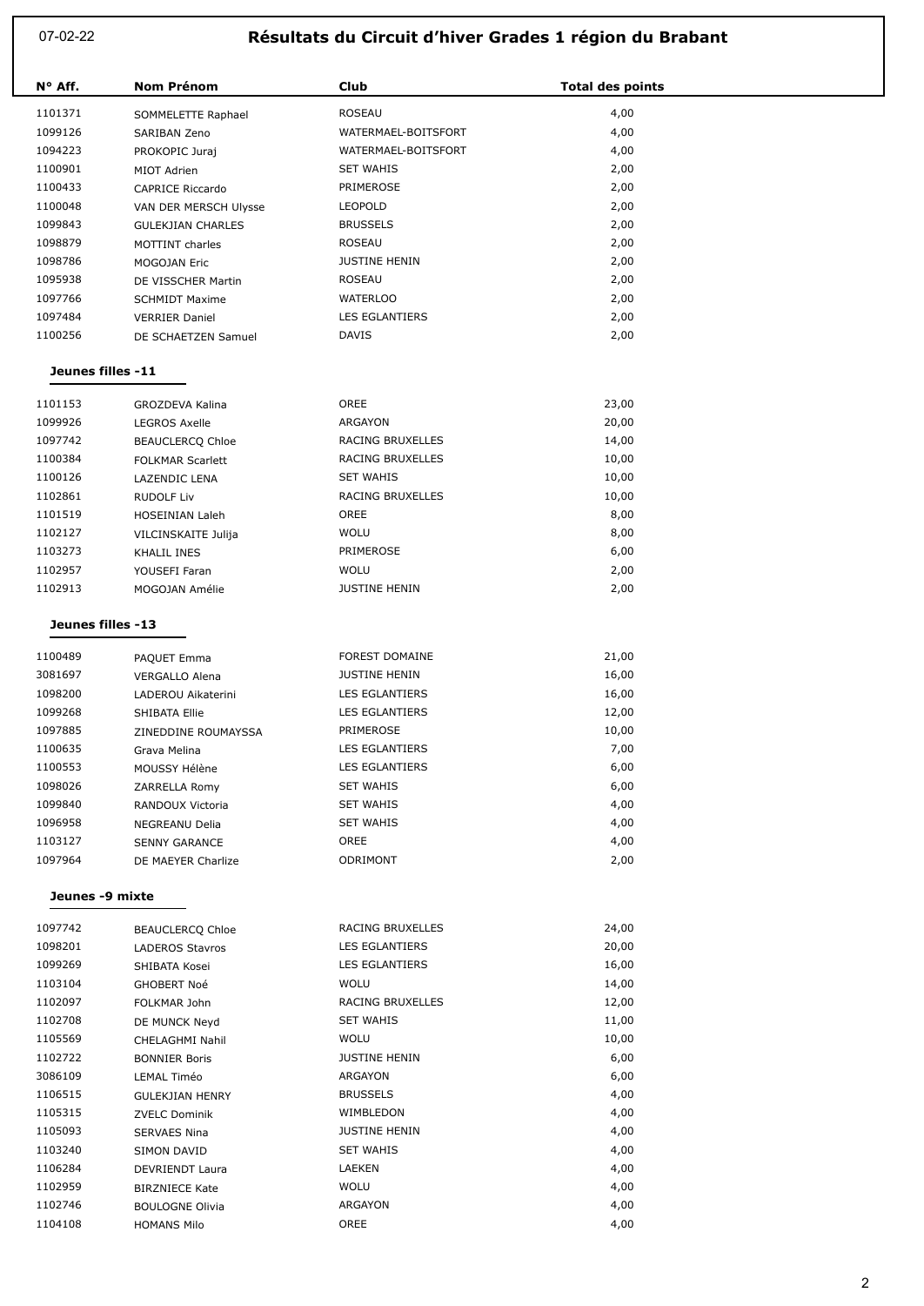07-02-22

## **Résultats du Circuit d'hiver Grades 1 région du Brabant**

| N° Aff.           | <b>Nom Prénom</b>        | Club                  | <b>Total des points</b> |  |  |
|-------------------|--------------------------|-----------------------|-------------------------|--|--|
| 1101371           | SOMMELETTE Raphael       | ROSEAU                | 4,00                    |  |  |
| 1099126           | SARIBAN Zeno             | WATERMAEL-BOITSFORT   | 4,00                    |  |  |
| 1094223           | PROKOPIC Juraj           | WATERMAEL-BOITSFORT   | 4,00                    |  |  |
| 1100901           | MIOT Adrien              | <b>SET WAHIS</b>      | 2,00                    |  |  |
| 1100433           | <b>CAPRICE Riccardo</b>  | PRIMEROSE             | 2,00                    |  |  |
| 1100048           | VAN DER MERSCH Ulysse    | <b>LEOPOLD</b>        | 2,00                    |  |  |
| 1099843           | <b>GULEKJIAN CHARLES</b> | <b>BRUSSELS</b>       | 2,00                    |  |  |
| 1098879           | MOTTINT charles          | ROSEAU                | 2,00                    |  |  |
| 1098786           | MOGOJAN Eric             | <b>JUSTINE HENIN</b>  | 2,00                    |  |  |
| 1095938           | DE VISSCHER Martin       | ROSEAU                | 2,00                    |  |  |
| 1097766           | <b>SCHMIDT Maxime</b>    | <b>WATERLOO</b>       | 2,00                    |  |  |
| 1097484           | <b>VERRIER Daniel</b>    | LES EGLANTIERS        | 2,00                    |  |  |
| 1100256           | DE SCHAETZEN Samuel      | <b>DAVIS</b>          | 2,00                    |  |  |
| Jeunes filles -11 |                          |                       |                         |  |  |
| 1101153           | <b>GROZDEVA Kalina</b>   | OREE                  | 23,00                   |  |  |
| 1099926           | <b>LEGROS Axelle</b>     | ARGAYON               | 20,00                   |  |  |
| 1097742           | <b>BEAUCLERCQ Chloe</b>  | RACING BRUXELLES      | 14,00                   |  |  |
| 1100384           | <b>FOLKMAR Scarlett</b>  | RACING BRUXELLES      | 10,00                   |  |  |
| 1100126           | LAZENDIC LENA            | <b>SET WAHIS</b>      | 10,00                   |  |  |
| 1102861           | <b>RUDOLF Liv</b>        | RACING BRUXELLES      | 10,00                   |  |  |
| 1101519           | HOSEINIAN Laleh          | OREE                  | 8,00                    |  |  |
| 1102127           | VILCINSKAITE Julija      | <b>WOLU</b>           | 8,00                    |  |  |
| 1103273           | KHALIL INES              | PRIMEROSE             | 6,00                    |  |  |
| 1102957           | YOUSEFI Faran            | <b>WOLU</b>           | 2,00                    |  |  |
| 1102913           | MOGOJAN Amélie           | <b>JUSTINE HENIN</b>  | 2,00                    |  |  |
| Jeunes filles -13 |                          |                       |                         |  |  |
| 1100489           | PAQUET Emma              | <b>FOREST DOMAINE</b> | 21,00                   |  |  |
| 3081697           | <b>VERGALLO Alena</b>    | <b>JUSTINE HENIN</b>  | 16,00                   |  |  |
| 1098200           | LADEROU Aikaterini       | LES EGLANTIERS        | 16,00                   |  |  |
| 1099268           | SHIBATA Ellie            | LES EGLANTIERS        | 12,00                   |  |  |
| 1097885           | ZINEDDINE ROUMAYSSA      | PRIMEROSE             | 10,00                   |  |  |
| 1100635           | Grava Melina             | LES EGLANTIERS        | 7,00                    |  |  |
| 1100553           | MOUSSY Hélène            | LES EGLANTIERS        | 6,00                    |  |  |
| 1098026           | ZARRELLA Romy            | <b>SET WAHIS</b>      | 6,00                    |  |  |
| 1099840           | RANDOUX Victoria         | <b>SET WAHIS</b>      | 4,00                    |  |  |
| 1096958           | NEGREANU Delia           | <b>SET WAHIS</b>      | 4,00                    |  |  |
| 1103127           | <b>SENNY GARANCE</b>     | OREE                  | 4,00                    |  |  |
| 1097964           | DE MAEYER Charlize       | ODRIMONT              | 2,00                    |  |  |
| Jeunes -9 mixte   |                          |                       |                         |  |  |
| 1097742           | <b>BEAUCLERCQ Chloe</b>  | RACING BRUXELLES      | 24,00                   |  |  |
| 1098201           | LADEROS Stavros          | LES EGLANTIERS        | 20,00                   |  |  |
| 1099269           | SHIBATA Kosei            | LES EGLANTIERS        | 16,00                   |  |  |
| 1103104           | GHOBERT Noé              | <b>WOLU</b>           | 14,00                   |  |  |
| 1102097           | FOLKMAR John             | RACING BRUXELLES      | 12,00                   |  |  |
| 1102708           | DE MUNCK Neyd            | <b>SET WAHIS</b>      | 11,00                   |  |  |
| 1105569           | CHELAGHMI Nahil          | <b>WOLU</b>           | 10,00                   |  |  |
| 1102722           | <b>BONNIER Boris</b>     | <b>JUSTINE HENIN</b>  | 6,00                    |  |  |
| 3086109           | LEMAL Timéo              | ARGAYON               | 6,00                    |  |  |
| 1106515           | <b>GULEKJIAN HENRY</b>   | <b>BRUSSELS</b>       | 4,00                    |  |  |
| 1105315           | <b>ZVELC Dominik</b>     | WIMBLEDON             | 4,00                    |  |  |
| 1105093           | <b>SERVAES Nina</b>      | <b>JUSTINE HENIN</b>  | 4,00                    |  |  |
| 1103240           | SIMON DAVID              | <b>SET WAHIS</b>      | 4,00                    |  |  |
| 1106284           | DEVRIENDT Laura          | LAEKEN                | 4,00                    |  |  |
| 1102959           | <b>BIRZNIECE Kate</b>    | <b>WOLU</b>           | 4,00                    |  |  |
| 1102746           | <b>BOULOGNE Olivia</b>   | ARGAYON               | 4,00                    |  |  |
| 1104108           | <b>HOMANS Milo</b>       | OREE                  | 4,00                    |  |  |